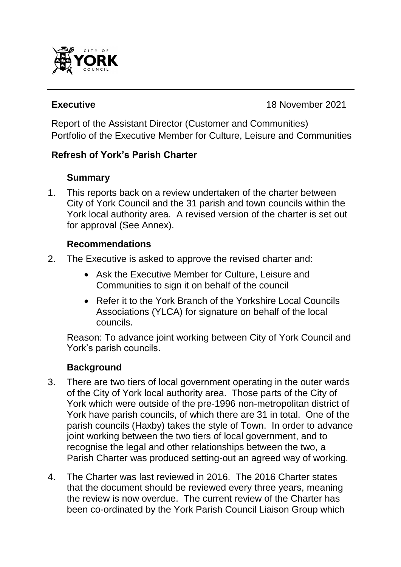

**Executive Executive 18 November 2021** 

Report of the Assistant Director (Customer and Communities) Portfolio of the Executive Member for Culture, Leisure and Communities

#### **Refresh of York's Parish Charter**

#### **Summary**

1. This reports back on a review undertaken of the charter between City of York Council and the 31 parish and town councils within the York local authority area. A revised version of the charter is set out for approval (See Annex).

#### **Recommendations**

- 2. The Executive is asked to approve the revised charter and:
	- Ask the Executive Member for Culture, Leisure and Communities to sign it on behalf of the council
	- Refer it to the York Branch of the Yorkshire Local Councils Associations (YLCA) for signature on behalf of the local councils.

Reason: To advance joint working between City of York Council and York's parish councils.

## **Background**

- 3. There are two tiers of local government operating in the outer wards of the City of York local authority area. Those parts of the City of York which were outside of the pre-1996 non-metropolitan district of York have parish councils, of which there are 31 in total. One of the parish councils (Haxby) takes the style of Town. In order to advance joint working between the two tiers of local government, and to recognise the legal and other relationships between the two, a Parish Charter was produced setting-out an agreed way of working.
- 4. The Charter was last reviewed in 2016. The 2016 Charter states that the document should be reviewed every three years, meaning the review is now overdue. The current review of the Charter has been co-ordinated by the York Parish Council Liaison Group which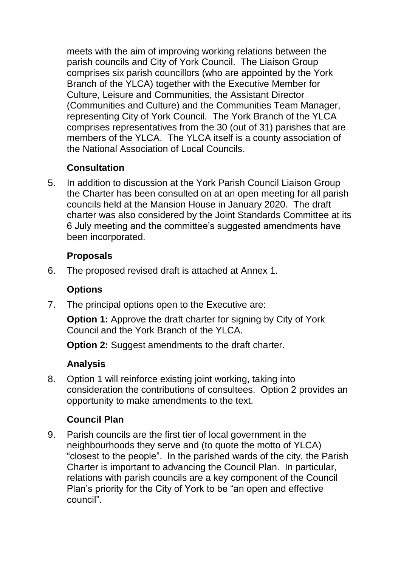meets with the aim of improving working relations between the parish councils and City of York Council. The Liaison Group comprises six parish councillors (who are appointed by the York Branch of the YLCA) together with the Executive Member for Culture, Leisure and Communities, the Assistant Director (Communities and Culture) and the Communities Team Manager, representing City of York Council. The York Branch of the YLCA comprises representatives from the 30 (out of 31) parishes that are members of the YLCA. The YLCA itself is a county association of the National Association of Local Councils.

# **Consultation**

5. In addition to discussion at the York Parish Council Liaison Group the Charter has been consulted on at an open meeting for all parish councils held at the Mansion House in January 2020. The draft charter was also considered by the Joint Standards Committee at its 6 July meeting and the committee's suggested amendments have been incorporated.

#### **Proposals**

6. The proposed revised draft is attached at Annex 1.

## **Options**

7. The principal options open to the Executive are:

**Option 1:** Approve the draft charter for signing by City of York Council and the York Branch of the YLCA.

**Option 2:** Suggest amendments to the draft charter.

## **Analysis**

8. Option 1 will reinforce existing joint working, taking into consideration the contributions of consultees. Option 2 provides an opportunity to make amendments to the text.

## **Council Plan**

9. Parish councils are the first tier of local government in the neighbourhoods they serve and (to quote the motto of YLCA) "closest to the people". In the parished wards of the city, the Parish Charter is important to advancing the Council Plan. In particular, relations with parish councils are a key component of the Council Plan's priority for the City of York to be "an open and effective council".